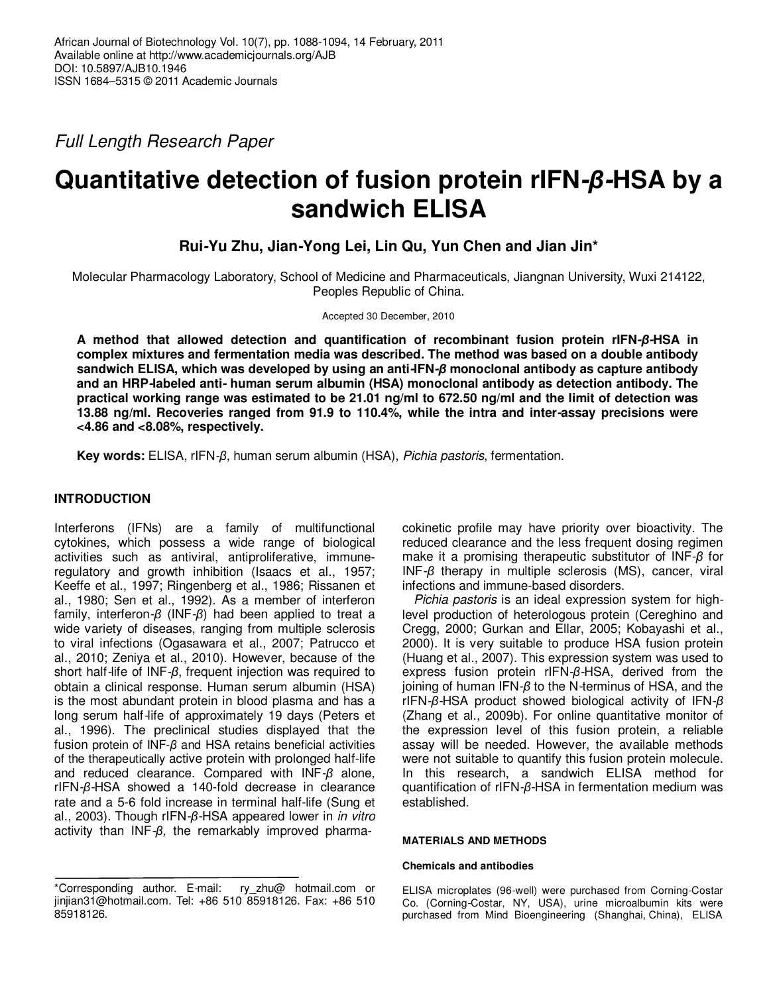Full Length Research Paper

# **Quantitative detection of fusion protein rIFN-***β***-HSA by a sandwich ELISA**

**Rui-Yu Zhu, Jian-Yong Lei, Lin Qu, Yun Chen and Jian Jin\*** 

Molecular Pharmacology Laboratory, School of Medicine and Pharmaceuticals, Jiangnan University, Wuxi 214122, Peoples Republic of China.

Accepted 30 December, 2010

**A method that allowed detection and quantification of recombinant fusion protein rIFN-***β***-HSA in complex mixtures and fermentation media was described. The method was based on a double antibody sandwich ELISA, which was developed by using an anti-IFN-***β* **monoclonal antibody as capture antibody and an HRP-labeled anti- human serum albumin (HSA) monoclonal antibody as detection antibody. The practical working range was estimated to be 21.01 ng/ml to 672.50 ng/ml and the limit of detection was 13.88 ng/ml. Recoveries ranged from 91.9 to 110.4%, while the intra and inter-assay precisions were <4.86 and <8.08%, respectively.** 

**Key words:** ELISA, rIFN-*β*, human serum albumin (HSA), Pichia pastoris, fermentation.

# **INTRODUCTION**

Interferons (IFNs) are a family of multifunctional cytokines, which possess a wide range of biological activities such as antiviral, antiproliferative, immuneregulatory and growth inhibition (Isaacs et al., 1957; Keeffe et al., 1997; Ringenberg et al., 1986; Rissanen et al., 1980; Sen et al., 1992). As a member of interferon family, interferon-*β* (INF-*β*) had been applied to treat a wide variety of diseases, ranging from multiple sclerosis to viral infections (Ogasawara et al., 2007; Patrucco et al., 2010; Zeniya et al., 2010). However, because of the short half-life of INF-*β*, frequent injection was required to obtain a clinical response. Human serum albumin (HSA) is the most abundant protein in blood plasma and has a long serum half-life of approximately 19 days (Peters et al., 1996). The preclinical studies displayed that the fusion protein of INF-*β* and HSA retains beneficial activities of the therapeutically active protein with prolonged half-life and reduced clearance. Compared with INF-*β* alone, rIFN-*β*-HSA showed a 140-fold decrease in clearance rate and a 5-6 fold increase in terminal half-life (Sung et al., 2003). Though rIFN-*β*-HSA appeared lower in in vitro activity than INF-*β*, the remarkably improved pharma-

\*Corresponding author. E-mail: ry\_zhu@ hotmail.com or jinjian31@hotmail.com. Tel: +86 510 85918126. Fax: +86 510 85918126.

cokinetic profile may have priority over bioactivity. The reduced clearance and the less frequent dosing regimen make it a promising therapeutic substitutor of INF-*β* for INF-*β* therapy in multiple sclerosis (MS), cancer, viral infections and immune-based disorders.

Pichia pastoris is an ideal expression system for highlevel production of heterologous protein (Cereghino and Cregg, 2000; Gurkan and Ellar, 2005; Kobayashi et al., 2000). It is very suitable to produce HSA fusion protein (Huang et al., 2007). This expression system was used to express fusion protein rIFN-*β*-HSA, derived from the joining of human IFN-*β* to the N-terminus of HSA, and the rIFN-*β*-HSA product showed biological activity of IFN-*β* (Zhang et al., 2009b). For online quantitative monitor of the expression level of this fusion protein, a reliable assay will be needed. However, the available methods were not suitable to quantify this fusion protein molecule. In this research, a sandwich ELISA method for quantification of rIFN-*β*-HSA in fermentation medium was established.

# **MATERIALS AND METHODS**

# **Chemicals and antibodies**

ELISA microplates (96-well) were purchased from Corning-Costar Co. (Corning-Costar, NY, USA), urine microalbumin kits were purchased from Mind Bioengineering (Shanghai, China), ELISA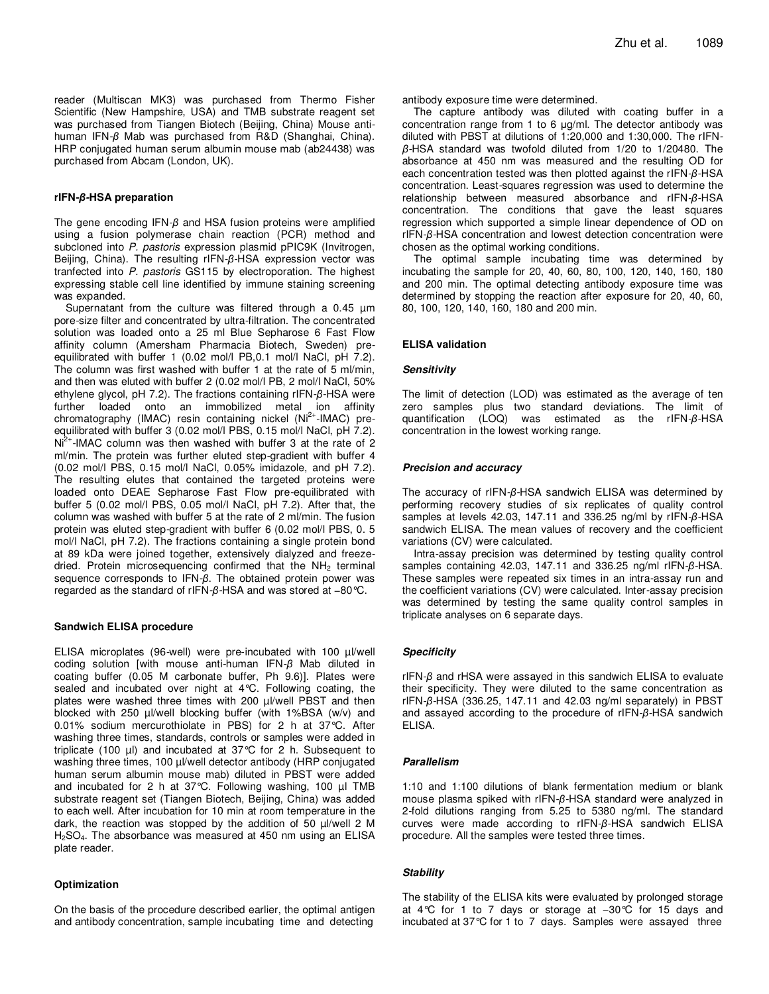reader (Multiscan MK3) was purchased from Thermo Fisher Scientific (New Hampshire, USA) and TMB substrate reagent set was purchased from Tiangen Biotech (Beijing, China) Mouse antihuman IFN-*β* Mab was purchased from R&D (Shanghai, China). HRP conjugated human serum albumin mouse mab (ab24438) was purchased from Abcam (London, UK).

#### **rIFN-***β***-HSA preparation**

The gene encoding IFN-*β* and HSA fusion proteins were amplified using a fusion polymerase chain reaction (PCR) method and subcloned into P. pastoris expression plasmid pPIC9K (Invitrogen, Beijing, China). The resulting rIFN-*β*-HSA expression vector was tranfected into P. pastoris GS115 by electroporation. The highest expressing stable cell line identified by immune staining screening was expanded.

Supernatant from the culture was filtered through a 0.45  $\mu$ m pore-size filter and concentrated by ultra-filtration. The concentrated solution was loaded onto a 25 ml Blue Sepharose 6 Fast Flow affinity column (Amersham Pharmacia Biotech, Sweden) preequilibrated with buffer 1 (0.02 mol/l PB,0.1 mol/l NaCl, pH 7.2). The column was first washed with buffer 1 at the rate of 5 ml/min, and then was eluted with buffer 2 (0.02 mol/l PB, 2 mol/l NaCl, 50% ethylene glycol, pH 7.2). The fractions containing rIFN-*β*-HSA were further loaded onto an immobilized metal ion affinity chromatography (IMAC) resin containing nickel (Ni<sup>2+</sup>-IMAC) preequilibrated with buffer 3 (0.02 mol/l PBS, 0.15 mol/l NaCl, pH 7.2).  $Ni<sup>2+</sup>$ -IMAC column was then washed with buffer 3 at the rate of 2 ml/min. The protein was further eluted step-gradient with buffer 4 (0.02 mol/l PBS, 0.15 mol/l NaCl, 0.05% imidazole, and pH 7.2). The resulting elutes that contained the targeted proteins were loaded onto DEAE Sepharose Fast Flow pre-equilibrated with buffer 5 (0.02 mol/l PBS, 0.05 mol/l NaCl, pH 7.2). After that, the column was washed with buffer 5 at the rate of 2 ml/min. The fusion protein was eluted step-gradient with buffer 6 (0.02 mol/l PBS, 0. 5 mol/l NaCl, pH 7.2). The fractions containing a single protein bond at 89 kDa were joined together, extensively dialyzed and freezedried. Protein microsequencing confirmed that the NH<sub>2</sub> terminal sequence corresponds to IFN-*β*. The obtained protein power was regarded as the standard of rIFN-*β*-HSA and was stored at −80°C.

### **Sandwich ELISA procedure**

ELISA microplates (96-well) were pre-incubated with 100 µl/well coding solution [with mouse anti-human IFN-*β* Mab diluted in coating buffer (0.05 M carbonate buffer, Ph 9.6)]. Plates were sealed and incubated over night at 4°C. Following coating, the plates were washed three times with 200 µl/well PBST and then blocked with 250 µl/well blocking buffer (with 1%BSA (w/v) and 0.01% sodium mercurothiolate in PBS) for 2 h at 37°C. After washing three times, standards, controls or samples were added in triplicate (100  $\mu$ I) and incubated at 37 $\degree$ C for 2 h. Subsequent to washing three times, 100 µl/well detector antibody (HRP conjugated human serum albumin mouse mab) diluted in PBST were added and incubated for 2 h at 37 $^{\circ}$ C. Following washing, 100  $\mu$ I TMB substrate reagent set (Tiangen Biotech, Beijing, China) was added to each well. After incubation for 10 min at room temperature in the dark, the reaction was stopped by the addition of 50 µl/well 2 M H2SO4. The absorbance was measured at 450 nm using an ELISA plate reader.

#### **Optimization**

On the basis of the procedure described earlier, the optimal antigen and antibody concentration, sample incubating time and detecting

antibody exposure time were determined.

The capture antibody was diluted with coating buffer in a concentration range from 1 to 6 µg/ml. The detector antibody was diluted with PBST at dilutions of 1:20,000 and 1:30,000. The rIFN*β*-HSA standard was twofold diluted from 1/20 to 1/20480. The absorbance at 450 nm was measured and the resulting OD for each concentration tested was then plotted against the rIFN-*β*-HSA concentration. Least-squares regression was used to determine the relationship between measured absorbance and rIFN-*β*-HSA concentration. The conditions that gave the least squares regression which supported a simple linear dependence of OD on rIFN-*β*-HSA concentration and lowest detection concentration were chosen as the optimal working conditions.

The optimal sample incubating time was determined by incubating the sample for 20, 40, 60, 80, 100, 120, 140, 160, 180 and 200 min. The optimal detecting antibody exposure time was determined by stopping the reaction after exposure for 20, 40, 60, 80, 100, 120, 140, 160, 180 and 200 min.

### **ELISA validation**

### **Sensitivity**

The limit of detection (LOD) was estimated as the average of ten zero samples plus two standard deviations. The limit of quantification (LOQ) was estimated as the rIFN-*β*-HSA concentration in the lowest working range.

### **Precision and accuracy**

The accuracy of rIFN-*β*-HSA sandwich ELISA was determined by performing recovery studies of six replicates of quality control samples at levels 42.03, 147.11 and 336.25 ng/ml by rIFN-*β*-HSA sandwich ELISA. The mean values of recovery and the coefficient variations (CV) were calculated.

Intra-assay precision was determined by testing quality control samples containing 42.03, 147.11 and 336.25 ng/ml rIFN-*β*-HSA. These samples were repeated six times in an intra-assay run and the coefficient variations (CV) were calculated. Inter-assay precision was determined by testing the same quality control samples in triplicate analyses on 6 separate days.

### **Specificity**

rIFN-*β* and rHSA were assayed in this sandwich ELISA to evaluate their specificity. They were diluted to the same concentration as rIFN-*β*-HSA (336.25, 147.11 and 42.03 ng/ml separately) in PBST and assayed according to the procedure of rIFN-*β*-HSA sandwich ELISA.

#### **Parallelism**

1:10 and 1:100 dilutions of blank fermentation medium or blank mouse plasma spiked with rIFN-*β*-HSA standard were analyzed in 2-fold dilutions ranging from 5.25 to 5380 ng/ml. The standard curves were made according to rIFN-*β*-HSA sandwich ELISA procedure. All the samples were tested three times.

### **Stability**

The stability of the ELISA kits were evaluated by prolonged storage at 4°C for 1 to 7 days or storage at −30°C for 15 days and incubated at 37°C for 1 to 7 days. Samples were assayed three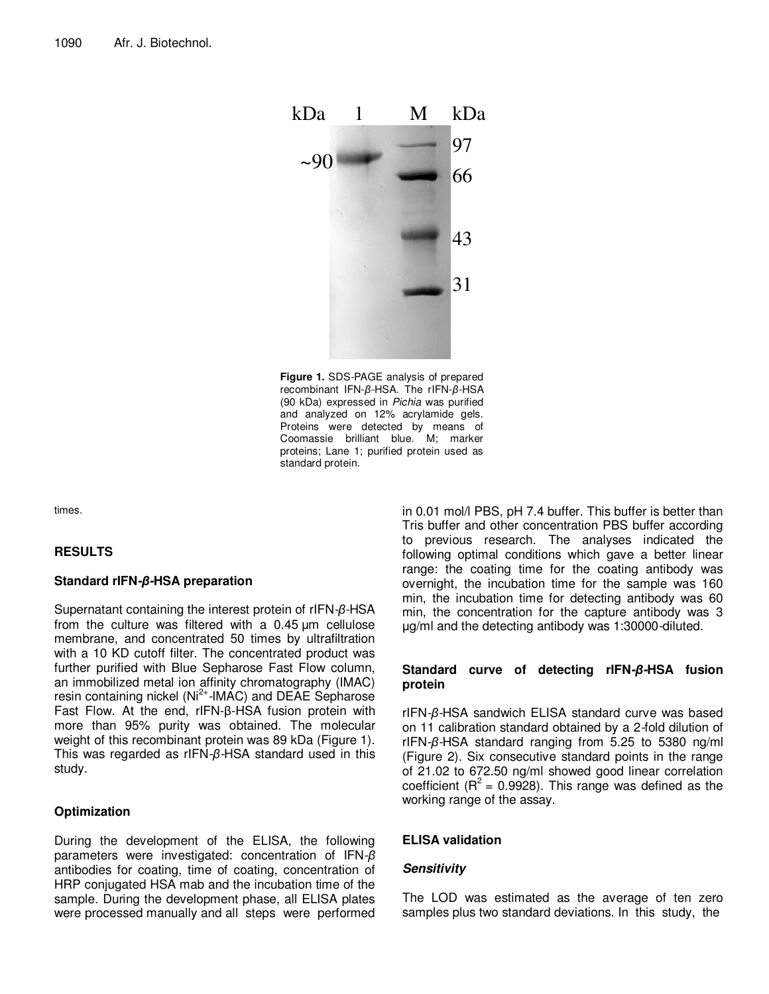

**Figure 1.** SDS-PAGE analysis of prepared recombinant IFN-*β*-HSA. The rIFN-*β*-HSA (90 kDa) expressed in Pichia was purified and analyzed on 12% acrylamide gels. Proteins were detected by means of Coomassie brilliant blue. M; marker proteins; Lane 1; purified protein used as standard protein.

times.

# **RESULTS**

# **Standard rIFN-***β***-HSA preparation**

Supernatant containing the interest protein of rIFN-*β*-HSA from the culture was filtered with a 0.45 µm cellulose membrane, and concentrated 50 times by ultrafiltration with a 10 KD cutoff filter. The concentrated product was further purified with Blue Sepharose Fast Flow column, an immobilized metal ion affinity chromatography (IMAC) resin containing nickel (Ni<sup>2+</sup>-IMAC) and DEAE Sepharose Fast Flow. At the end, rIFN-β-HSA fusion protein with more than 95% purity was obtained. The molecular weight of this recombinant protein was 89 kDa (Figure 1). This was regarded as rIFN-*β*-HSA standard used in this study.

# **Optimization**

During the development of the ELISA, the following parameters were investigated: concentration of IFN-*β* antibodies for coating, time of coating, concentration of HRP conjugated HSA mab and the incubation time of the sample. During the development phase, all ELISA plates were processed manually and all steps were performed in 0.01 mol/l PBS, pH 7.4 buffer. This buffer is better than Tris buffer and other concentration PBS buffer according to previous research. The analyses indicated the following optimal conditions which gave a better linear range: the coating time for the coating antibody was overnight, the incubation time for the sample was 160 min, the incubation time for detecting antibody was 60 min, the concentration for the capture antibody was 3 µg/ml and the detecting antibody was 1:30000-diluted.

# **Standard curve of detecting rIFN-***β***-HSA fusion protein**

rIFN-*β*-HSA sandwich ELISA standard curve was based on 11 calibration standard obtained by a 2-fold dilution of rIFN-*β*-HSA standard ranging from 5.25 to 5380 ng/ml (Figure 2). Six consecutive standard points in the range of 21.02 to 672.50 ng/ml showed good linear correlation coefficient ( $R^2$  = 0.9928). This range was defined as the working range of the assay.

# **ELISA validation**

# **Sensitivity**

The LOD was estimated as the average of ten zero samples plus two standard deviations. In this study, the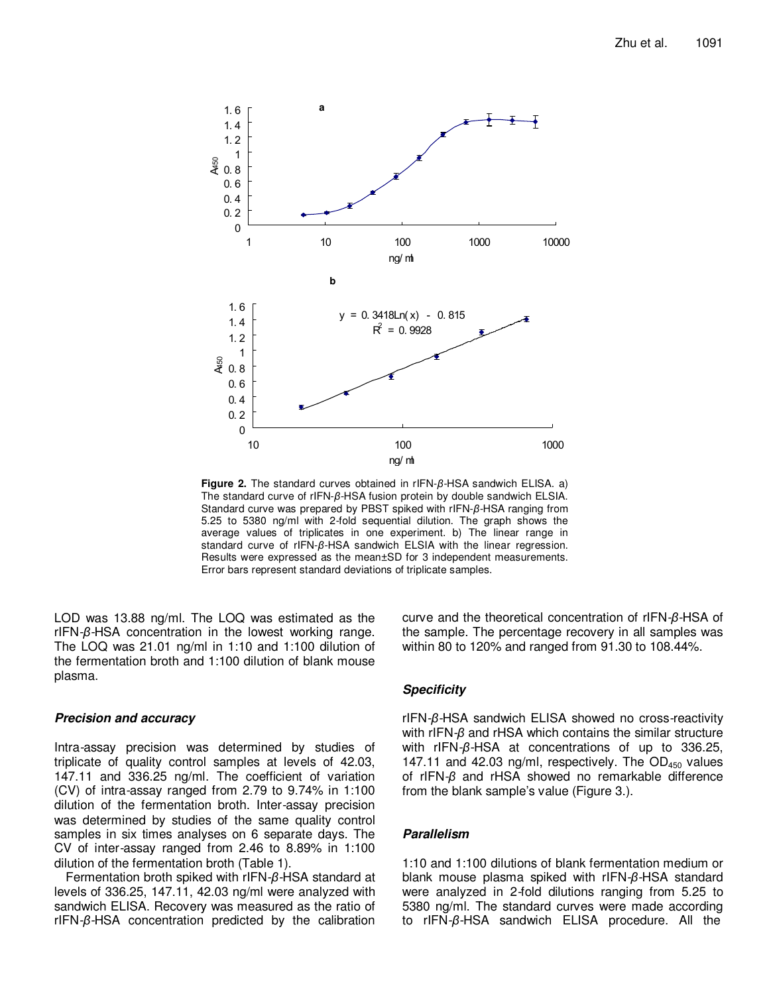

**Figure 2.** The standard curves obtained in rIFN-*β*-HSA sandwich ELISA. a) The standard curve of rIFN-*β*-HSA fusion protein by double sandwich ELSIA. Standard curve was prepared by PBST spiked with rIFN-*β*-HSA ranging from 5.25 to 5380 ng/ml with 2-fold sequential dilution. The graph shows the average values of triplicates in one experiment. b) The linear range in standard curve of rIFN-*β*-HSA sandwich ELSIA with the linear regression. Results were expressed as the mean±SD for 3 independent measurements. Error bars represent standard deviations of triplicate samples.

LOD was 13.88 ng/ml. The LOQ was estimated as the rIFN-*β*-HSA concentration in the lowest working range. The LOQ was 21.01 ng/ml in 1:10 and 1:100 dilution of the fermentation broth and 1:100 dilution of blank mouse plasma.

# **Precision and accuracy**

Intra-assay precision was determined by studies of triplicate of quality control samples at levels of 42.03, 147.11 and 336.25 ng/ml. The coefficient of variation (CV) of intra-assay ranged from 2.79 to 9.74% in 1:100 dilution of the fermentation broth. Inter-assay precision was determined by studies of the same quality control samples in six times analyses on 6 separate days. The CV of inter-assay ranged from 2.46 to 8.89% in 1:100 dilution of the fermentation broth (Table 1).

Fermentation broth spiked with rIFN-*β*-HSA standard at levels of 336.25, 147.11, 42.03 ng/ml were analyzed with sandwich ELISA. Recovery was measured as the ratio of rIFN-*β*-HSA concentration predicted by the calibration curve and the theoretical concentration of rIFN-*β*-HSA of the sample. The percentage recovery in all samples was within 80 to 120% and ranged from 91.30 to 108.44%.

# **Specificity**

rIFN-*β*-HSA sandwich ELISA showed no cross-reactivity with rIFN-*β* and rHSA which contains the similar structure with rIFN-*β*-HSA at concentrations of up to 336.25, 147.11 and 42.03 ng/ml, respectively. The  $OD_{450}$  values of rIFN-*β* and rHSA showed no remarkable difference from the blank sample's value (Figure 3.).

### **Parallelism**

1:10 and 1:100 dilutions of blank fermentation medium or blank mouse plasma spiked with rIFN-*β*-HSA standard were analyzed in 2-fold dilutions ranging from 5.25 to 5380 ng/ml. The standard curves were made according to rIFN-*β*-HSA sandwich ELISA procedure. All the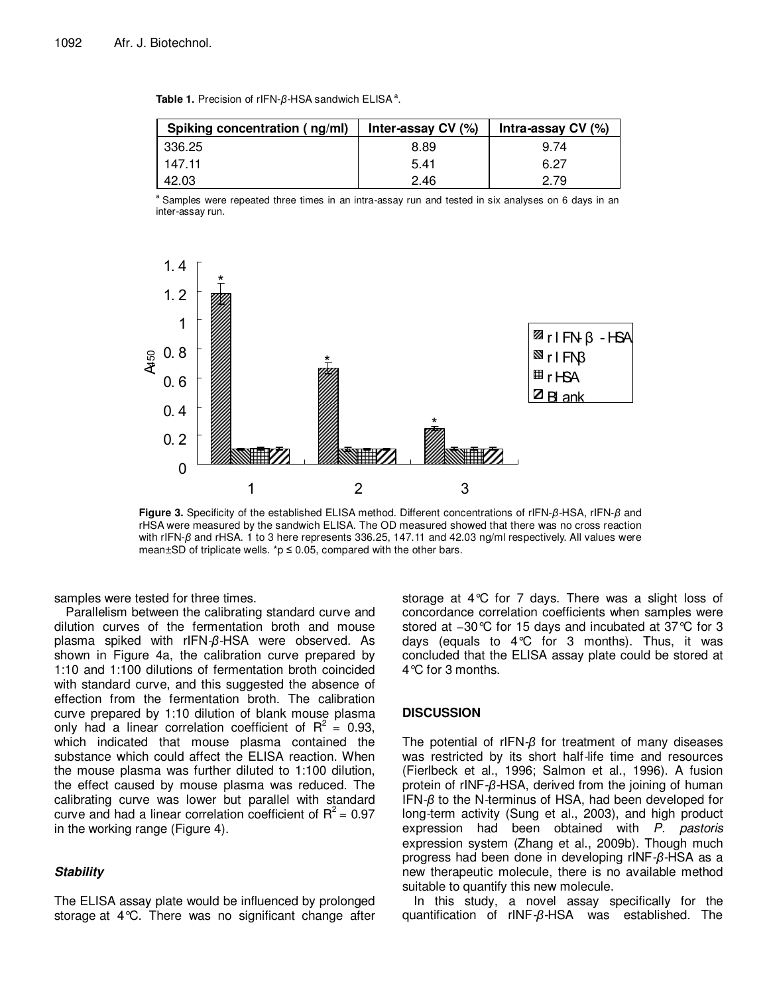| Table 1. Precision of rIFN- $\beta$ -HSA sandwich ELISA <sup>a</sup> . |  |
|------------------------------------------------------------------------|--|
|------------------------------------------------------------------------|--|

| Spiking concentration (ng/ml) | Inter-assay CV (%) | Intra-assay CV (%) |
|-------------------------------|--------------------|--------------------|
| 336.25                        | 8.89               | 9.74               |
| 147.11                        | 5.41               | 6.27               |
| 42.03                         | 2.46               | 2.79               |

<sup>a</sup> Samples were repeated three times in an intra-assay run and tested in six analyses on 6 days in an inter-assay run.



**Figure 3.** Specificity of the established ELISA method. Different concentrations of rIFN-*β*-HSA, rIFN-*β* and rHSA were measured by the sandwich ELISA. The OD measured showed that there was no cross reaction with rIFN-β and rHSA. 1 to 3 here represents 336.25, 147.11 and 42.03 ng/ml respectively. All values were mean $\pm$ SD of triplicate wells. \*p  $\leq$  0.05, compared with the other bars.

samples were tested for three times.

Parallelism between the calibrating standard curve and dilution curves of the fermentation broth and mouse plasma spiked with rIFN-*β*-HSA were observed. As shown in Figure 4a, the calibration curve prepared by 1:10 and 1:100 dilutions of fermentation broth coincided with standard curve, and this suggested the absence of effection from the fermentation broth. The calibration curve prepared by 1:10 dilution of blank mouse plasma only had a linear correlation coefficient of  $R^2 = 0.93$ , which indicated that mouse plasma contained the substance which could affect the ELISA reaction. When the mouse plasma was further diluted to 1:100 dilution, the effect caused by mouse plasma was reduced. The calibrating curve was lower but parallel with standard curve and had a linear correlation coefficient of  $R^2 = 0.97$ in the working range (Figure 4).

# **Stability**

The ELISA assay plate would be influenced by prolonged storage at 4°C. There was no significant change after storage at 4°C for 7 days. There was a slight loss of concordance correlation coefficients when samples were stored at −30°C for 15 days and incubated at 37°C for 3 days (equals to 4°C for 3 months). Thus, it was concluded that the ELISA assay plate could be stored at 4°C for 3 months.

# **DISCUSSION**

The potential of rIFN-*β* for treatment of many diseases was restricted by its short half-life time and resources (Fierlbeck et al., 1996; Salmon et al., 1996). A fusion protein of rINF-*β*-HSA, derived from the joining of human IFN-*β* to the N-terminus of HSA, had been developed for long-term activity (Sung et al., 2003), and high product expression had been obtained with P. pastoris expression system (Zhang et al., 2009b). Though much progress had been done in developing rINF-*β*-HSA as a new therapeutic molecule, there is no available method suitable to quantify this new molecule.

In this study, a novel assay specifically for the quantification of rINF-*β*-HSA was established. The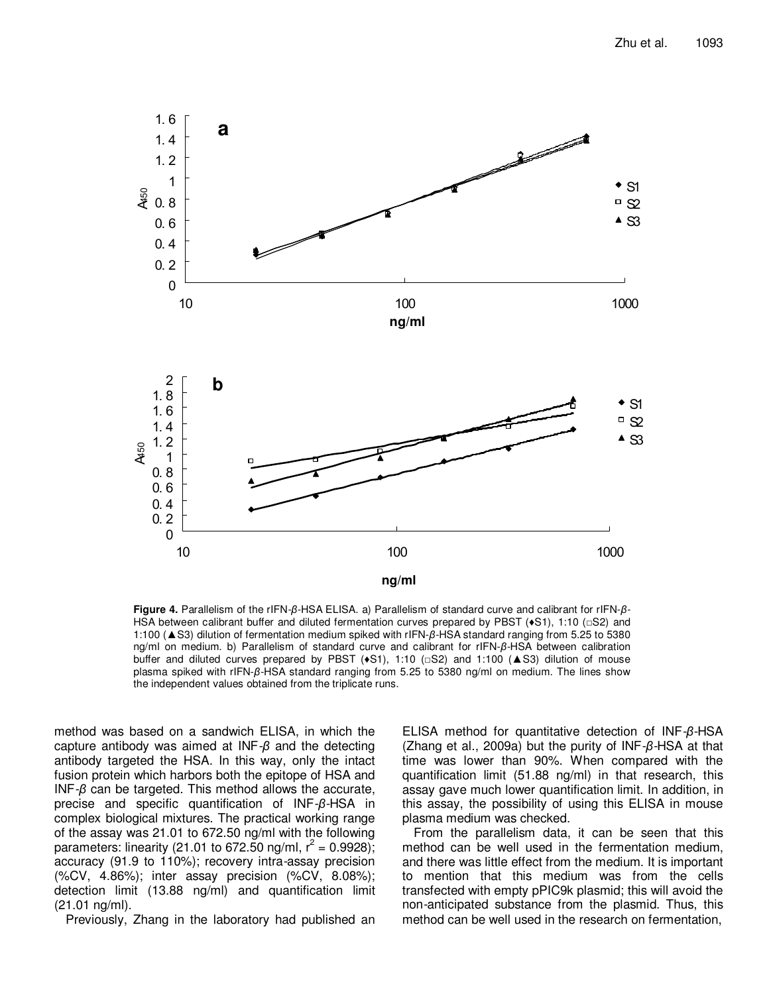

**Figure 4.** Parallelism of the rIFN-*β*-HSA ELISA. a) Parallelism of standard curve and calibrant for rIFN-*β*-HSA between calibrant buffer and diluted fermentation curves prepared by PBST ( $\bullet$ S1), 1:10 (□S2) and 1:100 (▲S3) dilution of fermentation medium spiked with rIFN-*β*-HSA standard ranging from 5.25 to 5380 ng/ml on medium. b) Parallelism of standard curve and calibrant for rIFN-*β*-HSA between calibration buffer and diluted curves prepared by PBST  $(•S1)$ , 1:10 ( $\Box$ S2) and 1:100 ( $\triangle$ S3) dilution of mouse plasma spiked with rIFN-*β*-HSA standard ranging from 5.25 to 5380 ng/ml on medium. The lines show the independent values obtained from the triplicate runs.

method was based on a sandwich ELISA, in which the capture antibody was aimed at INF-*β* and the detecting antibody targeted the HSA. In this way, only the intact fusion protein which harbors both the epitope of HSA and INF-*β* can be targeted. This method allows the accurate, precise and specific quantification of INF-*β*-HSA in complex biological mixtures. The practical working range of the assay was 21.01 to 672.50 ng/ml with the following parameters: linearity (21.01 to 672.50 ng/ml,  $r^2 = 0.9928$ ); accuracy (91.9 to 110%); recovery intra-assay precision (%CV, 4.86%); inter assay precision (%CV, 8.08%); detection limit (13.88 ng/ml) and quantification limit (21.01 ng/ml).

Previously, Zhang in the laboratory had published an

ELISA method for quantitative detection of INF-*β*-HSA (Zhang et al., 2009a) but the purity of INF-*β*-HSA at that time was lower than 90%. When compared with the quantification limit (51.88 ng/ml) in that research, this assay gave much lower quantification limit. In addition, in this assay, the possibility of using this ELISA in mouse plasma medium was checked.

From the parallelism data, it can be seen that this method can be well used in the fermentation medium, and there was little effect from the medium. It is important to mention that this medium was from the cells transfected with empty pPIC9k plasmid; this will avoid the non-anticipated substance from the plasmid. Thus, this method can be well used in the research on fermentation,